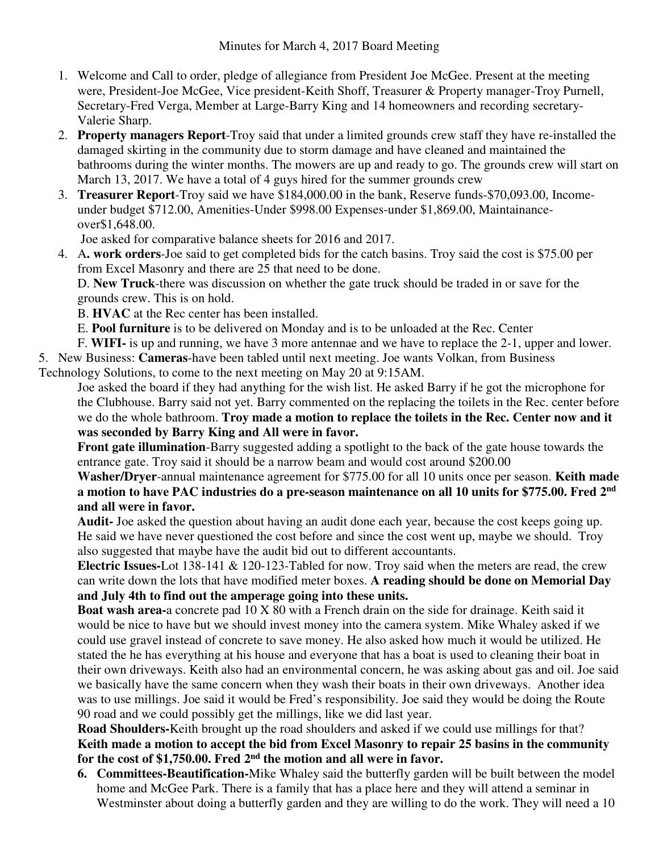- 1. Welcome and Call to order, pledge of allegiance from President Joe McGee. Present at the meeting were, President-Joe McGee, Vice president-Keith Shoff, Treasurer & Property manager-Troy Purnell, Secretary-Fred Verga, Member at Large-Barry King and 14 homeowners and recording secretary-Valerie Sharp.
- 2. **Property managers Report**-Troy said that under a limited grounds crew staff they have re-installed the damaged skirting in the community due to storm damage and have cleaned and maintained the bathrooms during the winter months. The mowers are up and ready to go. The grounds crew will start on March 13, 2017. We have a total of 4 guys hired for the summer grounds crew
- 3. **Treasurer Report**-Troy said we have \$184,000.00 in the bank, Reserve funds-\$70,093.00, Incomeunder budget \$712.00, Amenities-Under \$998.00 Expenses-under \$1,869.00, Maintainanceover\$1,648.00.

Joe asked for comparative balance sheets for 2016 and 2017.

4. A**. work orders**-Joe said to get completed bids for the catch basins. Troy said the cost is \$75.00 per from Excel Masonry and there are 25 that need to be done.

D. **New Truck**-there was discussion on whether the gate truck should be traded in or save for the grounds crew. This is on hold.

B. **HVAC** at the Rec center has been installed.

- E. **Pool furniture** is to be delivered on Monday and is to be unloaded at the Rec. Center
- F. **WIFI-** is up and running, we have 3 more antennae and we have to replace the 2-1, upper and lower.
- 5. New Business: **Cameras**-have been tabled until next meeting. Joe wants Volkan, from Business

Technology Solutions, to come to the next meeting on May 20 at 9:15AM.

Joe asked the board if they had anything for the wish list. He asked Barry if he got the microphone for the Clubhouse. Barry said not yet. Barry commented on the replacing the toilets in the Rec. center before we do the whole bathroom. **Troy made a motion to replace the toilets in the Rec. Center now and it was seconded by Barry King and All were in favor.** 

**Front gate illumination**-Barry suggested adding a spotlight to the back of the gate house towards the entrance gate. Troy said it should be a narrow beam and would cost around \$200.00

**Washer/Dryer**-annual maintenance agreement for \$775.00 for all 10 units once per season. **Keith made a motion to have PAC industries do a pre-season maintenance on all 10 units for \$775.00. Fred 2nd and all were in favor.** 

**Audit-** Joe asked the question about having an audit done each year, because the cost keeps going up. He said we have never questioned the cost before and since the cost went up, maybe we should. Troy also suggested that maybe have the audit bid out to different accountants.

**Electric Issues-**Lot 138-141 & 120-123-Tabled for now. Troy said when the meters are read, the crew can write down the lots that have modified meter boxes. **A reading should be done on Memorial Day and July 4th to find out the amperage going into these units.** 

**Boat wash area-**a concrete pad 10 X 80 with a French drain on the side for drainage. Keith said it would be nice to have but we should invest money into the camera system. Mike Whaley asked if we could use gravel instead of concrete to save money. He also asked how much it would be utilized. He stated the he has everything at his house and everyone that has a boat is used to cleaning their boat in their own driveways. Keith also had an environmental concern, he was asking about gas and oil. Joe said we basically have the same concern when they wash their boats in their own driveways. Another idea was to use millings. Joe said it would be Fred's responsibility. Joe said they would be doing the Route 90 road and we could possibly get the millings, like we did last year.

**Road Shoulders-**Keith brought up the road shoulders and asked if we could use millings for that? **Keith made a motion to accept the bid from Excel Masonry to repair 25 basins in the community for the cost of \$1,750.00. Fred 2nd the motion and all were in favor.** 

**6. Committees-Beautification-**Mike Whaley said the butterfly garden will be built between the model home and McGee Park. There is a family that has a place here and they will attend a seminar in Westminster about doing a butterfly garden and they are willing to do the work. They will need a 10